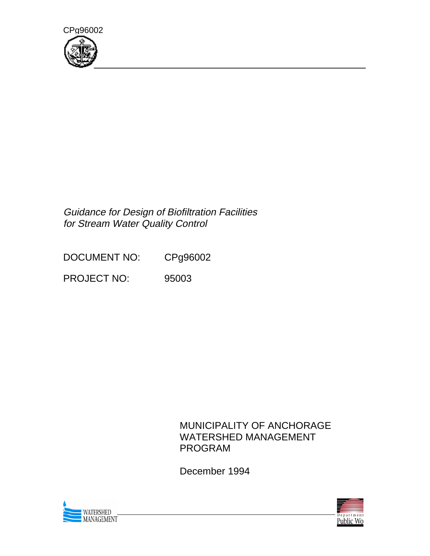

## Guidance for Design of Biofiltration Facilities for Stream Water Quality Control

DOCUMENT NO: CPg96002

PROJECT NO: 95003

## MUNICIPALITY OF ANCHORAGE WATERSHED MANAGEMENT PROGRAM

December 1994



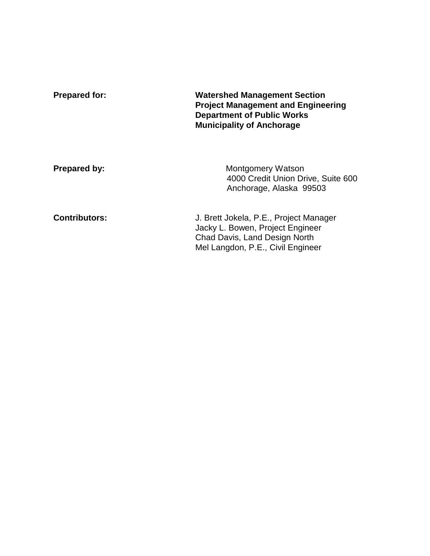| <b>Prepared for:</b> | <b>Watershed Management Section</b><br><b>Project Management and Engineering</b><br><b>Department of Public Works</b><br><b>Municipality of Anchorage</b> |  |
|----------------------|-----------------------------------------------------------------------------------------------------------------------------------------------------------|--|
| <b>Prepared by:</b>  | Montgomery Watson<br>4000 Credit Union Drive, Suite 600<br>Anchorage, Alaska 99503                                                                        |  |
| <b>Contributors:</b> | J. Brett Jokela, P.E., Project Manager<br>Jacky L. Bowen, Project Engineer<br>Chad Davis, Land Design North<br>Mel Langdon, P.E., Civil Engineer          |  |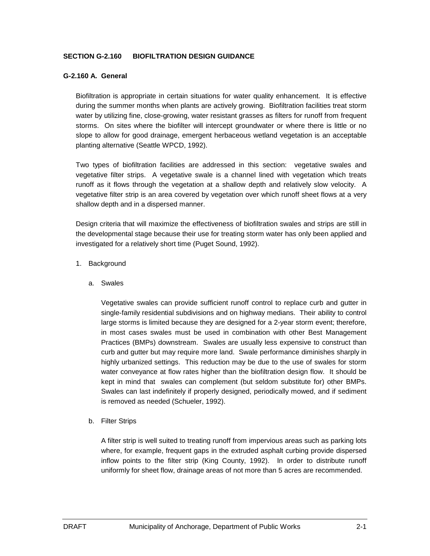#### **SECTION G-2.160 BIOFILTRATION DESIGN GUIDANCE**

#### **G-2.160 A. General**

Biofiltration is appropriate in certain situations for water quality enhancement. It is effective during the summer months when plants are actively growing. Biofiltration facilities treat storm water by utilizing fine, close-growing, water resistant grasses as filters for runoff from frequent storms. On sites where the biofilter will intercept groundwater or where there is little or no slope to allow for good drainage, emergent herbaceous wetland vegetation is an acceptable planting alternative (Seattle WPCD, 1992).

Two types of biofiltration facilities are addressed in this section: vegetative swales and vegetative filter strips. A vegetative swale is a channel lined with vegetation which treats runoff as it flows through the vegetation at a shallow depth and relatively slow velocity. A vegetative filter strip is an area covered by vegetation over which runoff sheet flows at a very shallow depth and in a dispersed manner.

Design criteria that will maximize the effectiveness of biofiltration swales and strips are still in the developmental stage because their use for treating storm water has only been applied and investigated for a relatively short time (Puget Sound, 1992).

- 1. Background
	- a. Swales

Vegetative swales can provide sufficient runoff control to replace curb and gutter in single-family residential subdivisions and on highway medians. Their ability to control large storms is limited because they are designed for a 2-year storm event; therefore, in most cases swales must be used in combination with other Best Management Practices (BMPs) downstream. Swales are usually less expensive to construct than curb and gutter but may require more land. Swale performance diminishes sharply in highly urbanized settings. This reduction may be due to the use of swales for storm water conveyance at flow rates higher than the biofiltration design flow. It should be kept in mind that swales can complement (but seldom substitute for) other BMPs. Swales can last indefinitely if properly designed, periodically mowed, and if sediment is removed as needed (Schueler, 1992).

b. Filter Strips

A filter strip is well suited to treating runoff from impervious areas such as parking lots where, for example, frequent gaps in the extruded asphalt curbing provide dispersed inflow points to the filter strip (King County, 1992). In order to distribute runoff uniformly for sheet flow, drainage areas of not more than 5 acres are recommended.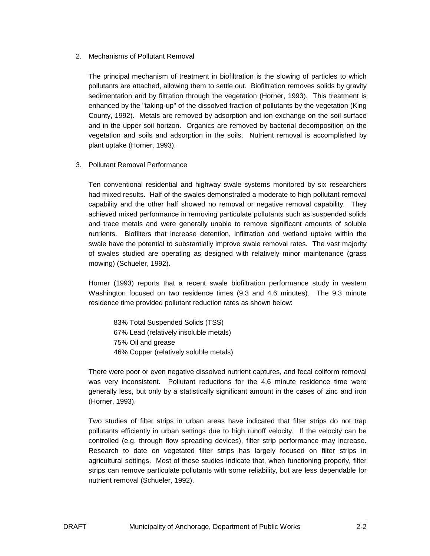#### 2. Mechanisms of Pollutant Removal

The principal mechanism of treatment in biofiltration is the slowing of particles to which pollutants are attached, allowing them to settle out. Biofiltration removes solids by gravity sedimentation and by filtration through the vegetation (Horner, 1993). This treatment is enhanced by the "taking-up" of the dissolved fraction of pollutants by the vegetation (King County, 1992). Metals are removed by adsorption and ion exchange on the soil surface and in the upper soil horizon. Organics are removed by bacterial decomposition on the vegetation and soils and adsorption in the soils. Nutrient removal is accomplished by plant uptake (Horner, 1993).

#### 3. Pollutant Removal Performance

Ten conventional residential and highway swale systems monitored by six researchers had mixed results. Half of the swales demonstrated a moderate to high pollutant removal capability and the other half showed no removal or negative removal capability. They achieved mixed performance in removing particulate pollutants such as suspended solids and trace metals and were generally unable to remove significant amounts of soluble nutrients. Biofilters that increase detention, infiltration and wetland uptake within the swale have the potential to substantially improve swale removal rates. The vast majority of swales studied are operating as designed with relatively minor maintenance (grass mowing) (Schueler, 1992).

Horner (1993) reports that a recent swale biofiltration performance study in western Washington focused on two residence times (9.3 and 4.6 minutes). The 9.3 minute residence time provided pollutant reduction rates as shown below:

83% Total Suspended Solids (TSS) 67% Lead (relatively insoluble metals) 75% Oil and grease 46% Copper (relatively soluble metals)

There were poor or even negative dissolved nutrient captures, and fecal coliform removal was very inconsistent. Pollutant reductions for the 4.6 minute residence time were generally less, but only by a statistically significant amount in the cases of zinc and iron (Horner, 1993).

Two studies of filter strips in urban areas have indicated that filter strips do not trap pollutants efficiently in urban settings due to high runoff velocity. If the velocity can be controlled (e.g. through flow spreading devices), filter strip performance may increase. Research to date on vegetated filter strips has largely focused on filter strips in agricultural settings. Most of these studies indicate that, when functioning properly, filter strips can remove particulate pollutants with some reliability, but are less dependable for nutrient removal (Schueler, 1992).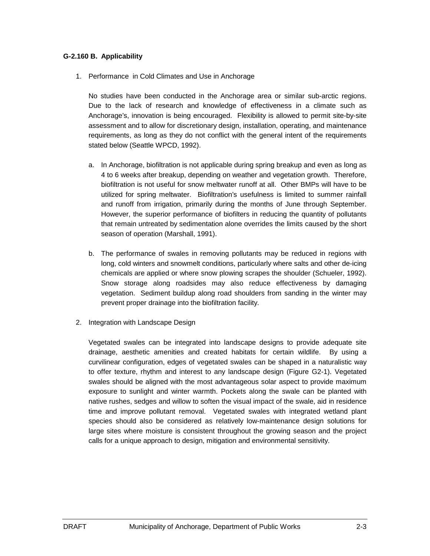#### **G-2.160 B. Applicability**

1. Performance in Cold Climates and Use in Anchorage

No studies have been conducted in the Anchorage area or similar sub-arctic regions. Due to the lack of research and knowledge of effectiveness in a climate such as Anchorage's, innovation is being encouraged. Flexibility is allowed to permit site-by-site assessment and to allow for discretionary design, installation, operating, and maintenance requirements, as long as they do not conflict with the general intent of the requirements stated below (Seattle WPCD, 1992).

- a. In Anchorage, biofiltration is not applicable during spring breakup and even as long as 4 to 6 weeks after breakup, depending on weather and vegetation growth. Therefore, biofiltration is not useful for snow meltwater runoff at all. Other BMPs will have to be utilized for spring meltwater. Biofiltration's usefulness is limited to summer rainfall and runoff from irrigation, primarily during the months of June through September. However, the superior performance of biofilters in reducing the quantity of pollutants that remain untreated by sedimentation alone overrides the limits caused by the short season of operation (Marshall, 1991).
- b. The performance of swales in removing pollutants may be reduced in regions with long, cold winters and snowmelt conditions, particularly where salts and other de-icing chemicals are applied or where snow plowing scrapes the shoulder (Schueler, 1992). Snow storage along roadsides may also reduce effectiveness by damaging vegetation. Sediment buildup along road shoulders from sanding in the winter may prevent proper drainage into the biofiltration facility.
- 2. Integration with Landscape Design

Vegetated swales can be integrated into landscape designs to provide adequate site drainage, aesthetic amenities and created habitats for certain wildlife. By using a curvilinear configuration, edges of vegetated swales can be shaped in a naturalistic way to offer texture, rhythm and interest to any landscape design (Figure G2-1). Vegetated swales should be aligned with the most advantageous solar aspect to provide maximum exposure to sunlight and winter warmth. Pockets along the swale can be planted with native rushes, sedges and willow to soften the visual impact of the swale, aid in residence time and improve pollutant removal. Vegetated swales with integrated wetland plant species should also be considered as relatively low-maintenance design solutions for large sites where moisture is consistent throughout the growing season and the project calls for a unique approach to design, mitigation and environmental sensitivity.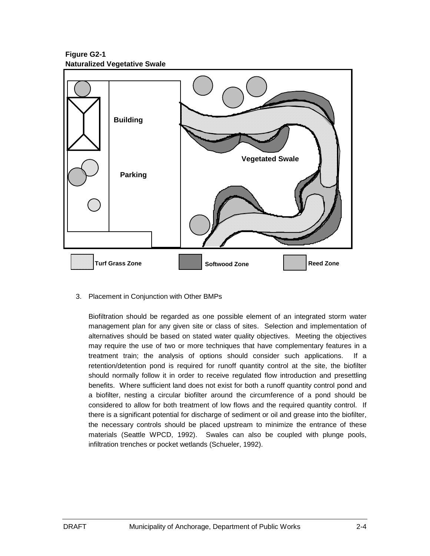**Figure G2-1 Naturalized Vegetative Swale**



3. Placement in Conjunction with Other BMPs

Biofiltration should be regarded as one possible element of an integrated storm water management plan for any given site or class of sites. Selection and implementation of alternatives should be based on stated water quality objectives. Meeting the objectives may require the use of two or more techniques that have complementary features in a treatment train; the analysis of options should consider such applications. If a retention/detention pond is required for runoff quantity control at the site, the biofilter should normally follow it in order to receive regulated flow introduction and presettling benefits. Where sufficient land does not exist for both a runoff quantity control pond and a biofilter, nesting a circular biofilter around the circumference of a pond should be considered to allow for both treatment of low flows and the required quantity control. If there is a significant potential for discharge of sediment or oil and grease into the biofilter, the necessary controls should be placed upstream to minimize the entrance of these materials (Seattle WPCD, 1992). Swales can also be coupled with plunge pools, infiltration trenches or pocket wetlands (Schueler, 1992).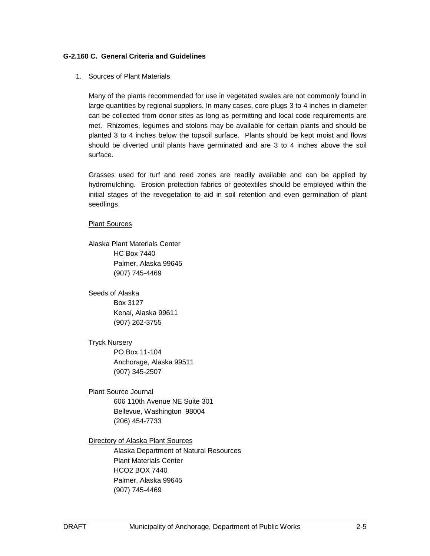#### **G-2.160 C. General Criteria and Guidelines**

1. Sources of Plant Materials

Many of the plants recommended for use in vegetated swales are not commonly found in large quantities by regional suppliers. In many cases, core plugs 3 to 4 inches in diameter can be collected from donor sites as long as permitting and local code requirements are met. Rhizomes, legumes and stolons may be available for certain plants and should be planted 3 to 4 inches below the topsoil surface. Plants should be kept moist and flows should be diverted until plants have germinated and are 3 to 4 inches above the soil surface.

Grasses used for turf and reed zones are readily available and can be applied by hydromulching. Erosion protection fabrics or geotextiles should be employed within the initial stages of the revegetation to aid in soil retention and even germination of plant seedlings.

#### Plant Sources

Alaska Plant Materials Center HC Box 7440 Palmer, Alaska 99645 (907) 745-4469

Seeds of Alaska

Box 3127 Kenai, Alaska 99611 (907) 262-3755

Tryck Nursery

PO Box 11-104 Anchorage, Alaska 99511 (907) 345-2507

Plant Source Journal 606 110th Avenue NE Suite 301 Bellevue, Washington 98004 (206) 454-7733

Directory of Alaska Plant Sources

Alaska Department of Natural Resources Plant Materials Center HCO2 BOX 7440 Palmer, Alaska 99645 (907) 745-4469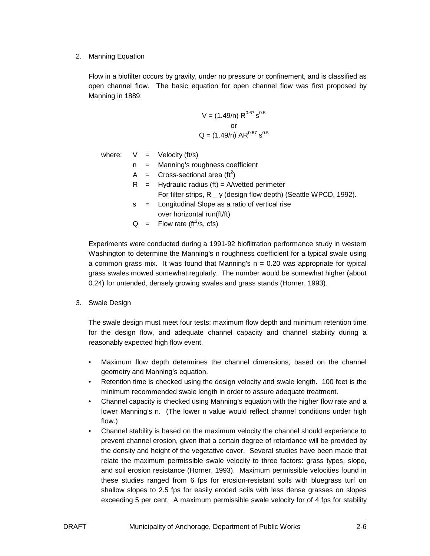2. Manning Equation

Flow in a biofilter occurs by gravity, under no pressure or confinement, and is classified as open channel flow. The basic equation for open channel flow was first proposed by Manning in 1889:

$$
V = (1.49/n) R^{0.67} s^{0.5}
$$
  
or  

$$
Q = (1.49/n) AR^{0.67} s^{0.5}
$$

where:  $V =$  Velocity (ft/s)

- n = Manning's roughness coefficient
- A = Cross-sectional area (ft<sup>2</sup>)
- $R =$  Hydraulic radius (ft) = A/wetted perimeter
	- For filter strips, R y (design flow depth) (Seattle WPCD, 1992).
- s = Longitudinal Slope as a ratio of vertical rise over horizontal run(ft/ft)
- $Q =$  Flow rate (ft<sup>3</sup>/s, cfs)

Experiments were conducted during a 1991-92 biofiltration performance study in western Washington to determine the Manning's n roughness coefficient for a typical swale using a common grass mix. It was found that Manning's  $n = 0.20$  was appropriate for typical grass swales mowed somewhat regularly. The number would be somewhat higher (about 0.24) for untended, densely growing swales and grass stands (Horner, 1993).

3. Swale Design

The swale design must meet four tests: maximum flow depth and minimum retention time for the design flow, and adequate channel capacity and channel stability during a reasonably expected high flow event.

- Maximum flow depth determines the channel dimensions, based on the channel geometry and Manning's equation.
- Retention time is checked using the design velocity and swale length. 100 feet is the minimum recommended swale length in order to assure adequate treatment.
- Channel capacity is checked using Manning's equation with the higher flow rate and a lower Manning's n. (The lower n value would reflect channel conditions under high flow.)
- Channel stability is based on the maximum velocity the channel should experience to prevent channel erosion, given that a certain degree of retardance will be provided by the density and height of the vegetative cover. Several studies have been made that relate the maximum permissible swale velocity to three factors: grass types, slope, and soil erosion resistance (Horner, 1993). Maximum permissible velocities found in these studies ranged from 6 fps for erosion-resistant soils with bluegrass turf on shallow slopes to 2.5 fps for easily eroded soils with less dense grasses on slopes exceeding 5 per cent. A maximum permissible swale velocity for of 4 fps for stability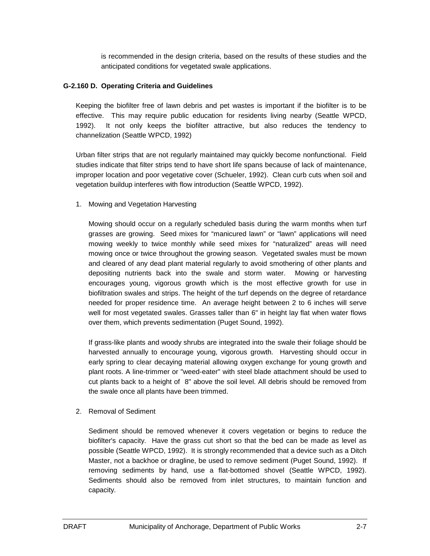is recommended in the design criteria, based on the results of these studies and the anticipated conditions for vegetated swale applications.

#### **G-2.160 D. Operating Criteria and Guidelines**

Keeping the biofilter free of lawn debris and pet wastes is important if the biofilter is to be effective. This may require public education for residents living nearby (Seattle WPCD, 1992). It not only keeps the biofilter attractive, but also reduces the tendency to channelization (Seattle WPCD, 1992)

Urban filter strips that are not regularly maintained may quickly become nonfunctional. Field studies indicate that filter strips tend to have short life spans because of lack of maintenance, improper location and poor vegetative cover (Schueler, 1992). Clean curb cuts when soil and vegetation buildup interferes with flow introduction (Seattle WPCD, 1992).

1. Mowing and Vegetation Harvesting

Mowing should occur on a regularly scheduled basis during the warm months when turf grasses are growing. Seed mixes for "manicured lawn" or "lawn" applications will need mowing weekly to twice monthly while seed mixes for "naturalized" areas will need mowing once or twice throughout the growing season. Vegetated swales must be mown and cleared of any dead plant material regularly to avoid smothering of other plants and depositing nutrients back into the swale and storm water. Mowing or harvesting encourages young, vigorous growth which is the most effective growth for use in biofiltration swales and strips. The height of the turf depends on the degree of retardance needed for proper residence time. An average height between 2 to 6 inches will serve well for most vegetated swales. Grasses taller than 6" in height lay flat when water flows over them, which prevents sedimentation (Puget Sound, 1992).

If grass-like plants and woody shrubs are integrated into the swale their foliage should be harvested annually to encourage young, vigorous growth. Harvesting should occur in early spring to clear decaying material allowing oxygen exchange for young growth and plant roots. A line-trimmer or "weed-eater" with steel blade attachment should be used to cut plants back to a height of 8" above the soil level. All debris should be removed from the swale once all plants have been trimmed.

2. Removal of Sediment

Sediment should be removed whenever it covers vegetation or begins to reduce the biofilter's capacity. Have the grass cut short so that the bed can be made as level as possible (Seattle WPCD, 1992). It is strongly recommended that a device such as a Ditch Master, not a backhoe or dragline, be used to remove sediment (Puget Sound, 1992). If removing sediments by hand, use a flat-bottomed shovel (Seattle WPCD, 1992). Sediments should also be removed from inlet structures, to maintain function and capacity.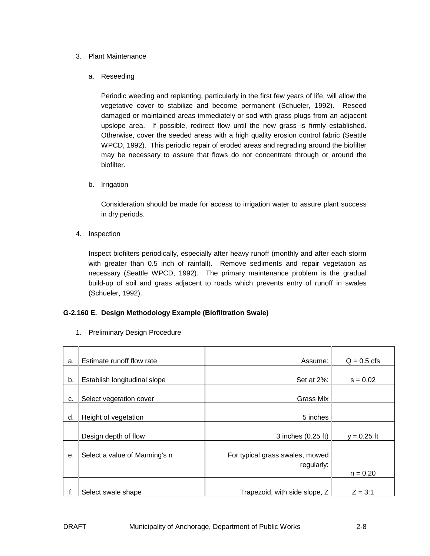#### 3. Plant Maintenance

#### a. Reseeding

Periodic weeding and replanting, particularly in the first few years of life, will allow the vegetative cover to stabilize and become permanent (Schueler, 1992). Reseed damaged or maintained areas immediately or sod with grass plugs from an adjacent upslope area. If possible, redirect flow until the new grass is firmly established. Otherwise, cover the seeded areas with a high quality erosion control fabric (Seattle WPCD, 1992). This periodic repair of eroded areas and regrading around the biofilter may be necessary to assure that flows do not concentrate through or around the biofilter.

b. Irrigation

Consideration should be made for access to irrigation water to assure plant success in dry periods.

4. Inspection

Inspect biofilters periodically, especially after heavy runoff (monthly and after each storm with greater than 0.5 inch of rainfall). Remove sediments and repair vegetation as necessary (Seattle WPCD, 1992). The primary maintenance problem is the gradual build-up of soil and grass adjacent to roads which prevents entry of runoff in swales (Schueler, 1992).

#### **G-2.160 E. Design Methodology Example (Biofiltration Swale)**

1. Preliminary Design Procedure

| a. | Estimate runoff flow rate     | Assume:                                       | $Q = 0.5$ cfs |
|----|-------------------------------|-----------------------------------------------|---------------|
| b. | Establish longitudinal slope  | Set at 2%:                                    | $s = 0.02$    |
| c. | Select vegetation cover       | Grass Mix                                     |               |
| d. | Height of vegetation          | 5 inches                                      |               |
|    | Design depth of flow          | 3 inches (0.25 ft)                            | $y = 0.25$ ft |
| е. | Select a value of Manning's n | For typical grass swales, mowed<br>regularly: | $n = 0.20$    |
| f. | Select swale shape            | Trapezoid, with side slope, Z                 | $Z = 3:1$     |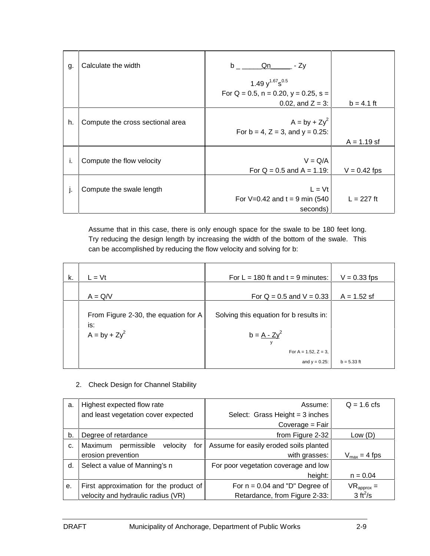| g. | Calculate the width              | Qn<br>b <sub>a</sub><br>- Zy                    |                |
|----|----------------------------------|-------------------------------------------------|----------------|
|    |                                  | 1.49 $y^{1.67}$ s <sup>0.5</sup>                |                |
|    |                                  | For $Q = 0.5$ , $n = 0.20$ , $y = 0.25$ , $s =$ |                |
|    |                                  | 0.02, and $Z = 3$ :                             | $b = 4.1$ ft   |
| h. | Compute the cross sectional area | $A = by + Zy^2$                                 |                |
|    |                                  | For $b = 4$ , $Z = 3$ , and $y = 0.25$ :        |                |
|    |                                  |                                                 | $A = 1.19$ sf  |
| ı. | Compute the flow velocity        | $V = Q/A$                                       |                |
|    |                                  | For $Q = 0.5$ and $A = 1.19$ :                  | $V = 0.42$ fps |
|    |                                  | $L = Vt$                                        |                |
| J. | Compute the swale length         |                                                 |                |
|    |                                  | For $V=0.42$ and $t = 9$ min (540               | $L = 227$ ft   |
|    |                                  | seconds)                                        |                |

Assume that in this case, there is only enough space for the swale to be 180 feet long. Try reducing the design length by increasing the width of the bottom of the swale. This can be accomplished by reducing the flow velocity and solving for b:

| k. | $L = Vt$                                                       | For $L = 180$ ft and $t = 9$ minutes:                                                | $V = 0.33$ fps |
|----|----------------------------------------------------------------|--------------------------------------------------------------------------------------|----------------|
|    | $A = Q/V$                                                      | For $Q = 0.5$ and $V = 0.33$                                                         | $A = 1.52$ sf  |
|    | From Figure 2-30, the equation for A<br>is:<br>$A = by + Zy^2$ | Solving this equation for b results in:<br>$b = A - Zy^2$<br>For A = $1.52$ , Z = 3, |                |
|    |                                                                | and $y = 0.25$ :                                                                     | $b = 5.33$ ft  |

2. Check Design for Channel Stability

| a.                                  | Highest expected flow rate                | Assume:                                | $Q = 1.6$ cfs            |
|-------------------------------------|-------------------------------------------|----------------------------------------|--------------------------|
|                                     | and least vegetation cover expected       | Select: Grass Height = $3$ inches      |                          |
|                                     |                                           | Coverage = Fair                        |                          |
| b.                                  | Degree of retardance                      | from Figure 2-32                       | Low (D)                  |
| c.                                  | Maximum<br>permissible<br>velocity<br>for | Assume for easily eroded soils planted |                          |
| erosion prevention                  |                                           | with grasses:                          | $V_{\text{max}} = 4$ fps |
| Select a value of Manning's n<br>d. |                                           | For poor vegetation coverage and low   |                          |
|                                     | height:                                   |                                        | $n = 0.04$               |
| е.                                  | First approximation for the product of    | For $n = 0.04$ and "D" Degree of       | $VR_{\text{approx}} =$   |
|                                     | velocity and hydraulic radius (VR)        | Retardance, from Figure 2-33:          | $3 ft^2/s$               |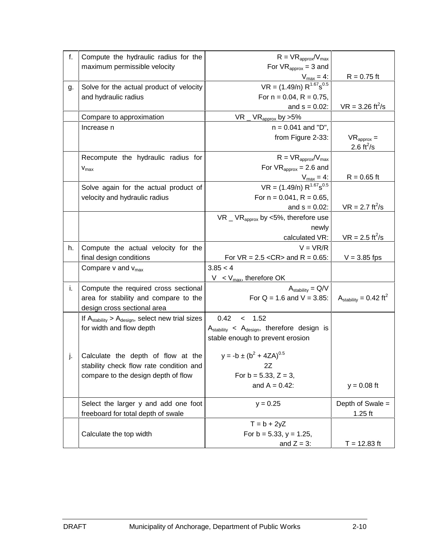| f. | Compute the hydraulic radius for the<br>maximum permissible velocity                 | $R = VR_{approx}/V_{max}$<br>For $VR_{\text{approx}} = 3$ and                  |                                                  |
|----|--------------------------------------------------------------------------------------|--------------------------------------------------------------------------------|--------------------------------------------------|
|    |                                                                                      | $V_{\text{max}} = 4$ :                                                         | $R = 0.75$ ft                                    |
| g. | Solve for the actual product of velocity                                             | $VR = (1.49/n) R^{1.67} s^{0.5}$                                               |                                                  |
|    | and hydraulic radius                                                                 | For $n = 0.04$ , $R = 0.75$ ,                                                  |                                                  |
|    |                                                                                      | and $s = 0.02$ :                                                               | $VR = 3.26 \text{ ft}^2/\text{s}$                |
|    | Compare to approximation                                                             | VR<br>$VR_{\text{approx}}$ by >5%                                              |                                                  |
|    | Increase n                                                                           | $n = 0.041$ and "D",                                                           |                                                  |
|    |                                                                                      | from Figure 2-33:                                                              | $VR_{\text{approx}} =$<br>2.6 ft <sup>2</sup> /s |
|    | Recompute the hydraulic radius for                                                   | $R = VR_{approx}/V_{max}$                                                      |                                                  |
|    | $V_{\text{max}}$                                                                     | For $VR_{\text{approx}} = 2.6$ and                                             |                                                  |
|    |                                                                                      | $V_{max} = 4$ :                                                                | $R = 0.65$ ft                                    |
|    | Solve again for the actual product of                                                | $VR = (1.49/n) R^{1.67} s^{0.5}$                                               |                                                  |
|    | velocity and hydraulic radius                                                        | For $n = 0.041$ , $R = 0.65$ ,                                                 |                                                  |
|    |                                                                                      | and $s = 0.02$ :                                                               | $VR = 2.7 \text{ ft}^2/\text{s}$                 |
|    |                                                                                      | $VR$ _ VR <sub>approx</sub> by <5%, therefore use                              |                                                  |
|    |                                                                                      | newly                                                                          |                                                  |
|    |                                                                                      | calculated VR:                                                                 | $VR = 2.5 \text{ ft}^2/\text{s}$                 |
| h. | Compute the actual velocity for the                                                  | $V = VR/R$                                                                     |                                                  |
|    | final design conditions                                                              | For $VR = 2.5 < CR$ and $R = 0.65$ :                                           | $V = 3.85$ fps                                   |
|    | Compare $v$ and $v_{\text{max}}$                                                     | 3.85 < 4                                                                       |                                                  |
|    |                                                                                      | $V < V_{\text{max}}$ , therefore OK                                            |                                                  |
| i. | Compute the required cross sectional                                                 | $A_{stability} = Q/V$                                                          |                                                  |
|    | area for stability and compare to the                                                | For $Q = 1.6$ and $V = 3.85$ :                                                 | $A_{stability} = 0.42 \text{ ft}^2$              |
|    | design cross sectional area                                                          | 0.42<br>1.52                                                                   |                                                  |
|    | If $A_{stability} > A_{design}$ , select new trial sizes<br>for width and flow depth | $\overline{\phantom{0}}$<br>$A_{stability} < A_{design}$ , therefore design is |                                                  |
|    |                                                                                      | stable enough to prevent erosion                                               |                                                  |
|    |                                                                                      |                                                                                |                                                  |
| j. | Calculate the depth of flow at the                                                   | $y = -b \pm (b^2 + 4ZA)^{0.5}$                                                 |                                                  |
|    | stability check flow rate condition and                                              | 2Z                                                                             |                                                  |
|    | compare to the design depth of flow                                                  | For $b = 5.33$ , $Z = 3$ ,                                                     |                                                  |
|    |                                                                                      | and $A = 0.42$ :                                                               | $y = 0.08$ ft                                    |
|    | Select the larger y and add one foot                                                 | $y = 0.25$                                                                     | Depth of Swale =                                 |
|    | freeboard for total depth of swale                                                   |                                                                                | $1.25$ ft                                        |
|    |                                                                                      | $T = b + 2yZ$                                                                  |                                                  |
|    | Calculate the top width                                                              | For $b = 5.33$ , $y = 1.25$ ,                                                  |                                                  |
|    |                                                                                      | and $Z = 3$ :                                                                  | $T = 12.83$ ft                                   |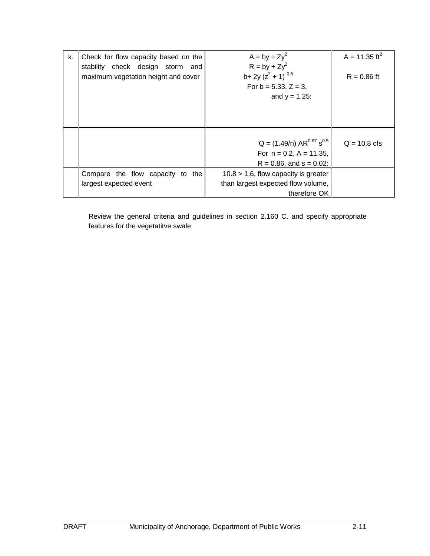| k. | Check for flow capacity based on the<br>stability check design storm and<br>maximum vegetation height and cover | $A = by + Zy^2$<br>$R = by + Zy^2$<br>b+ 2y ( $z^2$ + 1) <sup>0.5</sup><br>For $b = 5.33$ , $Z = 3$ ,<br>and $y = 1.25$ : | A = 11.35 ft <sup>2</sup><br>$R = 0.86$ ft |
|----|-----------------------------------------------------------------------------------------------------------------|---------------------------------------------------------------------------------------------------------------------------|--------------------------------------------|
|    |                                                                                                                 |                                                                                                                           |                                            |
|    |                                                                                                                 | $Q = (1.49/n) AR0.67 s0.5$<br>For $n = 0.2$ , $A = 11.35$ ,<br>$R = 0.86$ , and $s = 0.02$ :                              | $Q = 10.8$ cfs                             |
|    | Compare the flow capacity to the<br>largest expected event                                                      | $10.8 > 1.6$ , flow capacity is greater<br>than largest expected flow volume,<br>therefore OK                             |                                            |

Review the general criteria and guidelines in section 2.160 C. and specify appropriate features for the vegetatitve swale.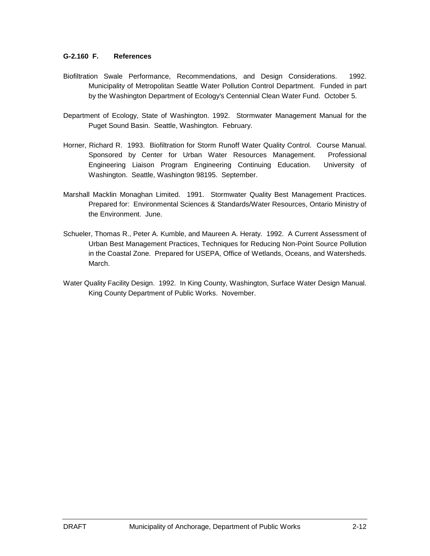#### **G-2.160 F. References**

- Biofiltration Swale Performance, Recommendations, and Design Considerations. 1992. Municipality of Metropolitan Seattle Water Pollution Control Department. Funded in part by the Washington Department of Ecology's Centennial Clean Water Fund. October 5.
- Department of Ecology, State of Washington. 1992. Stormwater Management Manual for the Puget Sound Basin. Seattle, Washington. February.
- Horner, Richard R. 1993. Biofiltration for Storm Runoff Water Quality Control. Course Manual. Sponsored by Center for Urban Water Resources Management. Professional Engineering Liaison Program Engineering Continuing Education. University of Washington. Seattle, Washington 98195. September.
- Marshall Macklin Monaghan Limited. 1991. Stormwater Quality Best Management Practices. Prepared for: Environmental Sciences & Standards/Water Resources, Ontario Ministry of the Environment. June.
- Schueler, Thomas R., Peter A. Kumble, and Maureen A. Heraty. 1992. A Current Assessment of Urban Best Management Practices, Techniques for Reducing Non-Point Source Pollution in the Coastal Zone. Prepared for USEPA, Office of Wetlands, Oceans, and Watersheds. March.
- Water Quality Facility Design. 1992. In King County, Washington, Surface Water Design Manual. King County Department of Public Works. November.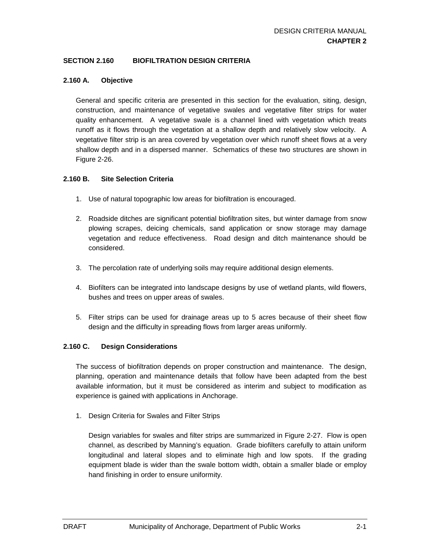#### **SECTION 2.160 BIOFILTRATION DESIGN CRITERIA**

#### **2.160 A. Objective**

General and specific criteria are presented in this section for the evaluation, siting, design, construction, and maintenance of vegetative swales and vegetative filter strips for water quality enhancement. A vegetative swale is a channel lined with vegetation which treats runoff as it flows through the vegetation at a shallow depth and relatively slow velocity. A vegetative filter strip is an area covered by vegetation over which runoff sheet flows at a very shallow depth and in a dispersed manner. Schematics of these two structures are shown in Figure 2-26.

#### **2.160 B. Site Selection Criteria**

- 1. Use of natural topographic low areas for biofiltration is encouraged.
- 2. Roadside ditches are significant potential biofiltration sites, but winter damage from snow plowing scrapes, deicing chemicals, sand application or snow storage may damage vegetation and reduce effectiveness. Road design and ditch maintenance should be considered.
- 3. The percolation rate of underlying soils may require additional design elements.
- 4. Biofilters can be integrated into landscape designs by use of wetland plants, wild flowers, bushes and trees on upper areas of swales.
- 5. Filter strips can be used for drainage areas up to 5 acres because of their sheet flow design and the difficulty in spreading flows from larger areas uniformly.

#### **2.160 C. Design Considerations**

The success of biofiltration depends on proper construction and maintenance. The design, planning, operation and maintenance details that follow have been adapted from the best available information, but it must be considered as interim and subject to modification as experience is gained with applications in Anchorage.

1. Design Criteria for Swales and Filter Strips

Design variables for swales and filter strips are summarized in Figure 2-27. Flow is open channel, as described by Manning's equation. Grade biofilters carefully to attain uniform longitudinal and lateral slopes and to eliminate high and low spots. If the grading equipment blade is wider than the swale bottom width, obtain a smaller blade or employ hand finishing in order to ensure uniformity.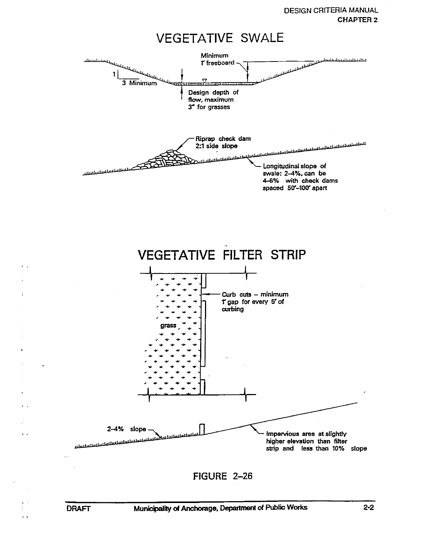**DESIGN CRITERIA MANUAL CHAPTER 2** 

# **VEGETATIVE SWALE**



 $\sim$   $\sim$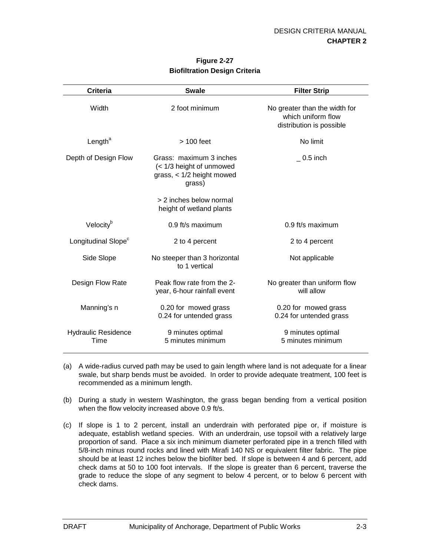| Criteria                           | <b>Swale</b>                                                                                 | <b>Filter Strip</b>                                                             |
|------------------------------------|----------------------------------------------------------------------------------------------|---------------------------------------------------------------------------------|
| Width                              | 2 foot minimum                                                                               | No greater than the width for<br>which uniform flow<br>distribution is possible |
| Length <sup>a</sup>                | $>100$ feet                                                                                  | No limit                                                                        |
| Depth of Design Flow               | Grass: maximum 3 inches<br>(< 1/3 height of unmowed<br>grass, $<$ 1/2 height mowed<br>grass) | $0.5$ inch                                                                      |
|                                    | > 2 inches below normal<br>height of wetland plants                                          |                                                                                 |
| Velocity <sup>b</sup>              | $0.9$ ft/s maximum                                                                           | $0.9$ ft/s maximum                                                              |
| Longitudinal Slope <sup>c</sup>    | 2 to 4 percent                                                                               | 2 to 4 percent                                                                  |
| Side Slope                         | No steeper than 3 horizontal<br>to 1 vertical                                                | Not applicable                                                                  |
| Design Flow Rate                   | Peak flow rate from the 2-<br>year, 6-hour rainfall event                                    | No greater than uniform flow<br>will allow                                      |
| Manning's n                        | 0.20 for mowed grass<br>0.24 for untended grass                                              | 0.20 for mowed grass<br>0.24 for untended grass                                 |
| <b>Hydraulic Residence</b><br>Time | 9 minutes optimal<br>5 minutes minimum                                                       | 9 minutes optimal<br>5 minutes minimum                                          |

#### **Figure 2-27 Biofiltration Design Criteria**

- (a) A wide-radius curved path may be used to gain length where land is not adequate for a linear swale, but sharp bends must be avoided. In order to provide adequate treatment, 100 feet is recommended as a minimum length.
- (b) During a study in western Washington, the grass began bending from a vertical position when the flow velocity increased above 0.9 ft/s.
- (c) If slope is 1 to 2 percent, install an underdrain with perforated pipe or, if moisture is adequate, establish wetland species. With an underdrain, use topsoil with a relatively large proportion of sand. Place a six inch minimum diameter perforated pipe in a trench filled with 5/8-inch minus round rocks and lined with Mirafi 140 NS or equivalent filter fabric. The pipe should be at least 12 inches below the biofilter bed. If slope is between 4 and 6 percent, add check dams at 50 to 100 foot intervals. If the slope is greater than 6 percent, traverse the grade to reduce the slope of any segment to below 4 percent, or to below 6 percent with check dams.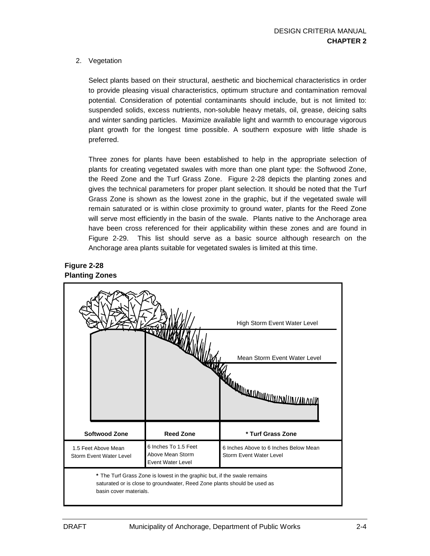2. Vegetation

Select plants based on their structural, aesthetic and biochemical characteristics in order to provide pleasing visual characteristics, optimum structure and contamination removal potential. Consideration of potential contaminants should include, but is not limited to: suspended solids, excess nutrients, non-soluble heavy metals, oil, grease, deicing salts and winter sanding particles. Maximize available light and warmth to encourage vigorous plant growth for the longest time possible. A southern exposure with little shade is preferred.

Three zones for plants have been established to help in the appropriate selection of plants for creating vegetated swales with more than one plant type: the Softwood Zone, the Reed Zone and the Turf Grass Zone. Figure 2-28 depicts the planting zones and gives the technical parameters for proper plant selection. It should be noted that the Turf Grass Zone is shown as the lowest zone in the graphic, but if the vegetated swale will remain saturated or is within close proximity to ground water, plants for the Reed Zone will serve most efficiently in the basin of the swale. Plants native to the Anchorage area have been cross referenced for their applicability within these zones and are found in Figure 2-29. This list should serve as a basic source although research on the Anchorage area plants suitable for vegetated swales is limited at this time.

#### **Figure 2-28 Planting Zones**

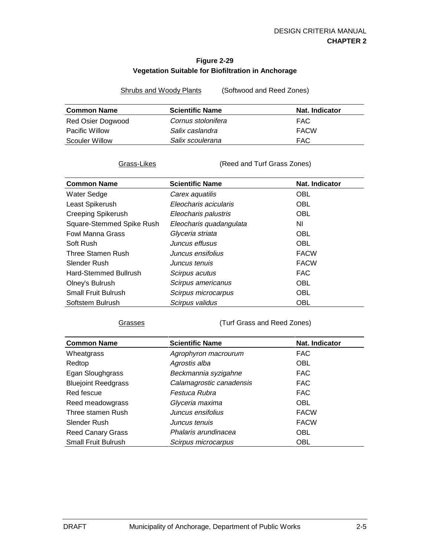#### **Figure 2-29 Vegetation Suitable for Biofiltration in Anchorage**

Shrubs and Woody Plants (Softwood and Reed Zones)

| <b>Common Name</b>    | <b>Scientific Name</b> | Nat. Indicator |
|-----------------------|------------------------|----------------|
| Red Osier Dogwood     | Cornus stolonifera     | FAC.           |
| <b>Pacific Willow</b> | Salix caslandra        | <b>FACW</b>    |
| Scouler Willow        | Salix scoulerana       | FAC            |

Grass-Likes (Reed and Turf Grass Zones)

| <b>Common Name</b>         | <b>Scientific Name</b>  | Nat. Indicator |
|----------------------------|-------------------------|----------------|
| <b>Water Sedge</b>         | Carex aquatilis         | <b>OBL</b>     |
| Least Spikerush            | Eleocharis acicularis   | <b>OBL</b>     |
| <b>Creeping Spikerush</b>  | Eleocharis palustris    | <b>OBL</b>     |
| Square-Stemmed Spike Rush  | Eleocharis quadangulata | ΝI             |
| <b>Fowl Manna Grass</b>    | Glyceria striata        | <b>OBL</b>     |
| Soft Rush                  | Juncus effusus          | <b>OBL</b>     |
| Three Stamen Rush          | Juncus ensifolius       | <b>FACW</b>    |
| Slender Rush               | Juncus tenuis           | <b>FACW</b>    |
| Hard-Stemmed Bullrush      | Scirpus acutus          | <b>FAC</b>     |
| Olney's Bulrush            | Scirpus americanus      | <b>OBL</b>     |
| <b>Small Fruit Bulrush</b> | Scirpus microcarpus     | <b>OBL</b>     |
| Softstem Bulrush           | Scirpus validus         | <b>OBL</b>     |

Grasses (Turf Grass and Reed Zones)

| <b>Common Name</b>         | <b>Scientific Name</b>   | Nat. Indicator |
|----------------------------|--------------------------|----------------|
| Wheatgrass                 | Agrophyron macrourum     | <b>FAC</b>     |
| Redtop                     | Agrostis alba            | OBL            |
| Egan Sloughgrass           | Beckmannia syzigahne     | <b>FAC</b>     |
| <b>Bluejoint Reedgrass</b> | Calamagrostic canadensis | <b>FAC</b>     |
| Red fescue                 | Festuca Rubra            | <b>FAC</b>     |
| Reed meadowgrass           | Glyceria maxima          | <b>OBL</b>     |
| Three stamen Rush          | Juncus ensifolius        | <b>FACW</b>    |
| Slender Rush               | Juncus tenuis            | <b>FACW</b>    |
| <b>Reed Canary Grass</b>   | Phalaris arundinacea     | <b>OBL</b>     |
| <b>Small Fruit Bulrush</b> | Scirpus microcarpus      | <b>OBL</b>     |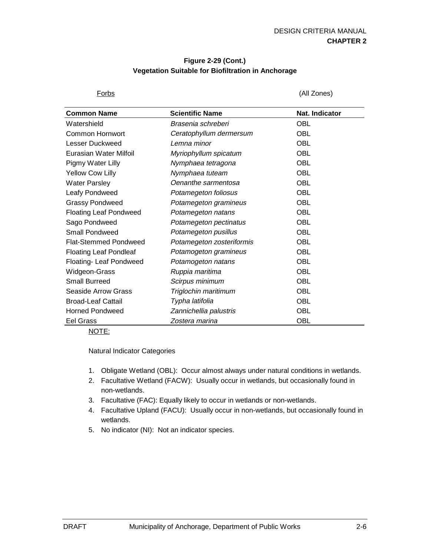#### **Figure 2-29 (Cont.) Vegetation Suitable for Biofiltration in Anchorage**

Forbs (All Zones)

| <b>Common Name</b>            | <b>Scientific Name</b>    | Nat. Indicator |
|-------------------------------|---------------------------|----------------|
| Watershield                   | Brasenia schreberi        | <b>OBL</b>     |
| Common Hornwort               | Ceratophyllum dermersum   | <b>OBL</b>     |
| Lesser Duckweed               | Lemna minor               | <b>OBL</b>     |
| Eurasian Water Milfoil        | Myriophyllum spicatum     | <b>OBL</b>     |
| Pigmy Water Lilly             | Nymphaea tetragona        | <b>OBL</b>     |
| Yellow Cow Lilly              | Nymphaea tuteam           | <b>OBL</b>     |
| <b>Water Parsley</b>          | Oenanthe sarmentosa       | <b>OBL</b>     |
| Leafy Pondweed                | Potamegeton foliosus      | <b>OBL</b>     |
| <b>Grassy Pondweed</b>        | Potamegeton gramineus     | <b>OBL</b>     |
| <b>Floating Leaf Pondweed</b> | Potamegeton natans        | <b>OBL</b>     |
| Sago Pondweed                 | Potamegeton pectinatus    | <b>OBL</b>     |
| Small Pondweed                | Potamegeton pusillus      | <b>OBL</b>     |
| <b>Flat-Stemmed Pondweed</b>  | Potamegeton zosteriformis | <b>OBL</b>     |
| <b>Floating Leaf Pondleaf</b> | Potamogeton gramineus     | <b>OBL</b>     |
| Floating- Leaf Pondweed       | Potamogeton natans        | <b>OBL</b>     |
| Widgeon-Grass                 | Ruppia maritima           | <b>OBL</b>     |
| <b>Small Burreed</b>          | Scirpus minimum           | <b>OBL</b>     |
| Seaside Arrow Grass           | Triglochin maritimum      | <b>OBL</b>     |
| <b>Broad-Leaf Cattail</b>     | Typha latifolia           | <b>OBL</b>     |
| <b>Horned Pondweed</b>        | Zannichellia palustris    | <b>OBL</b>     |
| <b>Eel Grass</b>              | Zostera marina            | <b>OBL</b>     |

NOTE:

Natural Indicator Categories

- 1. Obligate Wetland (OBL): Occur almost always under natural conditions in wetlands.
- 2. Facultative Wetland (FACW): Usually occur in wetlands, but occasionally found in non-wetlands.
- 3. Facultative (FAC): Equally likely to occur in wetlands or non-wetlands.
- 4. Facultative Upland (FACU): Usually occur in non-wetlands, but occasionally found in wetlands.
- 5. No indicator (NI): Not an indicator species.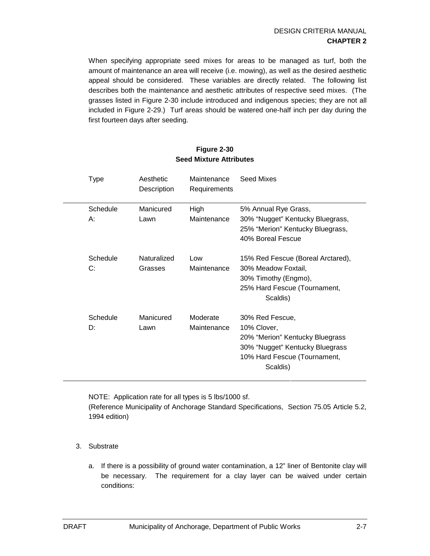When specifying appropriate seed mixes for areas to be managed as turf, both the amount of maintenance an area will receive (i.e. mowing), as well as the desired aesthetic appeal should be considered. These variables are directly related. The following list describes both the maintenance and aesthetic attributes of respective seed mixes. (The grasses listed in Figure 2-30 include introduced and indigenous species; they are not all included in Figure 2-29.) Turf areas should be watered one-half inch per day during the first fourteen days after seeding.

| Type           | Aesthetic<br>Description | Maintenance<br>Requirements | Seed Mixes                                                                                                                                       |
|----------------|--------------------------|-----------------------------|--------------------------------------------------------------------------------------------------------------------------------------------------|
| Schedule<br>A: | Manicured<br>Lawn        | High<br>Maintenance         | 5% Annual Rye Grass,<br>30% "Nugget" Kentucky Bluegrass,<br>25% "Merion" Kentucky Bluegrass,<br>40% Boreal Fescue                                |
| Schedule<br>C: | Naturalized<br>Grasses   | Low<br>Maintenance          | 15% Red Fescue (Boreal Arctared),<br>30% Meadow Foxtail,<br>30% Timothy (Engmo),<br>25% Hard Fescue (Tournament,<br>Scaldis)                     |
| Schedule<br>D: | Manicured<br>Lawn        | Moderate<br>Maintenance     | 30% Red Fescue,<br>10% Clover,<br>20% "Merion" Kentucky Bluegrass<br>30% "Nugget" Kentucky Bluegrass<br>10% Hard Fescue (Tournament,<br>Scaldis) |

#### **Figure 2-30 Seed Mixture Attributes**

NOTE: Application rate for all types is 5 lbs/1000 sf.

(Reference Municipality of Anchorage Standard Specifications, Section 75.05 Article 5.2, 1994 edition)

- 3. Substrate
	- a. If there is a possibility of ground water contamination, a 12" liner of Bentonite clay will be necessary. The requirement for a clay layer can be waived under certain conditions: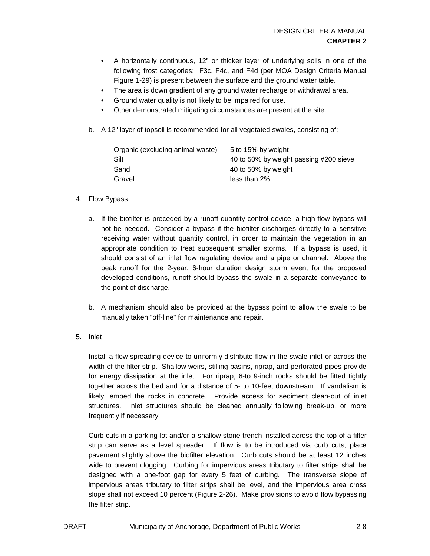- A horizontally continuous, 12" or thicker layer of underlying soils in one of the following frost categories: F3c, F4c, and F4d (per MOA Design Criteria Manual Figure 1-29) is present between the surface and the ground water table.
- The area is down gradient of any ground water recharge or withdrawal area.
- Ground water quality is not likely to be impaired for use.
- Other demonstrated mitigating circumstances are present at the site.
- b. A 12" layer of topsoil is recommended for all vegetated swales, consisting of:

| Organic (excluding animal waste) | 5 to 15% by weight                     |
|----------------------------------|----------------------------------------|
| Silt                             | 40 to 50% by weight passing #200 sieve |
| Sand                             | 40 to 50% by weight                    |
| Gravel                           | less than 2%                           |

#### 4. Flow Bypass

- a. If the biofilter is preceded by a runoff quantity control device, a high-flow bypass will not be needed. Consider a bypass if the biofilter discharges directly to a sensitive receiving water without quantity control, in order to maintain the vegetation in an appropriate condition to treat subsequent smaller storms. If a bypass is used, it should consist of an inlet flow regulating device and a pipe or channel. Above the peak runoff for the 2-year, 6-hour duration design storm event for the proposed developed conditions, runoff should bypass the swale in a separate conveyance to the point of discharge.
- b. A mechanism should also be provided at the bypass point to allow the swale to be manually taken "off-line" for maintenance and repair.
- 5. Inlet

Install a flow-spreading device to uniformly distribute flow in the swale inlet or across the width of the filter strip. Shallow weirs, stilling basins, riprap, and perforated pipes provide for energy dissipation at the inlet. For riprap, 6-to 9-inch rocks should be fitted tightly together across the bed and for a distance of 5- to 10-feet downstream. If vandalism is likely, embed the rocks in concrete. Provide access for sediment clean-out of inlet structures. Inlet structures should be cleaned annually following break-up, or more frequently if necessary.

Curb cuts in a parking lot and/or a shallow stone trench installed across the top of a filter strip can serve as a level spreader. If flow is to be introduced via curb cuts, place pavement slightly above the biofilter elevation. Curb cuts should be at least 12 inches wide to prevent clogging. Curbing for impervious areas tributary to filter strips shall be designed with a one-foot gap for every 5 feet of curbing. The transverse slope of impervious areas tributary to filter strips shall be level, and the impervious area cross slope shall not exceed 10 percent (Figure 2-26). Make provisions to avoid flow bypassing the filter strip.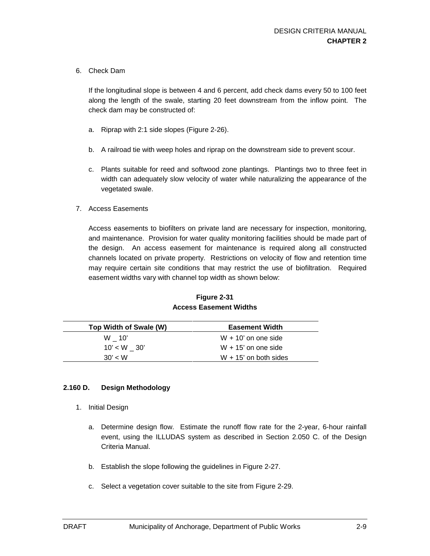6. Check Dam

If the longitudinal slope is between 4 and 6 percent, add check dams every 50 to 100 feet along the length of the swale, starting 20 feet downstream from the inflow point. The check dam may be constructed of:

- a. Riprap with 2:1 side slopes (Figure 2-26).
- b. A railroad tie with weep holes and riprap on the downstream side to prevent scour.
- c. Plants suitable for reed and softwood zone plantings. Plantings two to three feet in width can adequately slow velocity of water while naturalizing the appearance of the vegetated swale.
- 7. Access Easements

Access easements to biofilters on private land are necessary for inspection, monitoring, and maintenance. Provision for water quality monitoring facilities should be made part of the design. An access easement for maintenance is required along all constructed channels located on private property. Restrictions on velocity of flow and retention time may require certain site conditions that may restrict the use of biofiltration. Required easement widths vary with channel top width as shown below:

| Top Width of Swale (W) | <b>Easement Width</b>   |
|------------------------|-------------------------|
| $W = 10'$              | $W + 10'$ on one side   |
| $10' < W$ 30'          | $W + 15'$ on one side   |
| 30' < W                | $W + 15'$ on both sides |

**Figure 2-31 Access Easement Widths**

#### **2.160 D. Design Methodology**

- 1. Initial Design
	- a. Determine design flow. Estimate the runoff flow rate for the 2-year, 6-hour rainfall event, using the ILLUDAS system as described in Section 2.050 C. of the Design Criteria Manual.
	- b. Establish the slope following the guidelines in Figure 2-27.
	- c. Select a vegetation cover suitable to the site from Figure 2-29.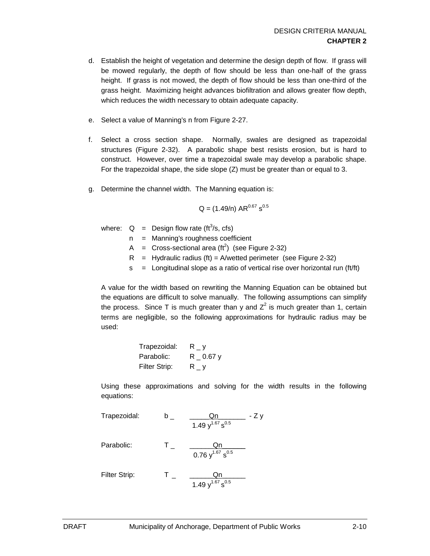- d. Establish the height of vegetation and determine the design depth of flow. If grass will be mowed regularly, the depth of flow should be less than one-half of the grass height. If grass is not mowed, the depth of flow should be less than one-third of the grass height. Maximizing height advances biofiltration and allows greater flow depth, which reduces the width necessary to obtain adequate capacity.
- e. Select a value of Manning's n from Figure 2-27.
- f. Select a cross section shape. Normally, swales are designed as trapezoidal structures (Figure 2-32). A parabolic shape best resists erosion, but is hard to construct. However, over time a trapezoidal swale may develop a parabolic shape. For the trapezoidal shape, the side slope (Z) must be greater than or equal to 3.
- g. Determine the channel width. The Manning equation is:

$$
Q = (1.49/n) AR^{0.67} s^{0.5}
$$

where:  $Q =$  Design flow rate (ft<sup>3</sup>/s, cfs)

- n = Manning's roughness coefficient
- A = Cross-sectional area ( $\text{ft}^2$ ) (see Figure 2-32)
- $R =$  Hydraulic radius (ft) = A/wetted perimeter (see Figure 2-32)
- $s =$  Longitudinal slope as a ratio of vertical rise over horizontal run (ft/ft)

A value for the width based on rewriting the Manning Equation can be obtained but the equations are difficult to solve manually. The following assumptions can simplify the process. Since T is much greater than y and  $Z^2$  is much greater than 1, certain terms are negligible, so the following approximations for hydraulic radius may be used:

| Trapezoidal:  | $R_y$          |
|---------------|----------------|
| Parabolic:    | $R$ $-$ 0.67 y |
| Filter Strip: | $R_y$          |

Using these approximations and solving for the width results in the following equations:

Trapezoidal:

\n

| $b_{-}$ | $\frac{Qn}{1.49 y^{1.67} s^{0.5}}$ | - Z y |
|---------|------------------------------------|-------|
|---------|------------------------------------|-------|

\nParabolic:

\n

| $T_{-}$ | $\frac{Qn}{0.76 y^{1.67} s^{0.5}}$ |
|---------|------------------------------------|
|---------|------------------------------------|

\nFilter Strip:

\n

| $T_{-}$ | $\frac{Qn}{1.49 y^{1.67} s^{0.5}}$ |
|---------|------------------------------------|
|---------|------------------------------------|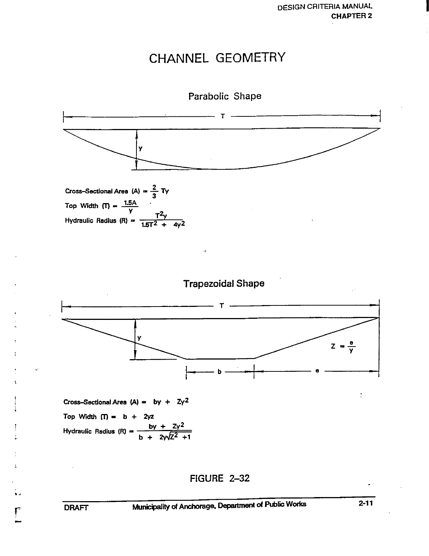# CHANNEL GEOMETRY



**FIGURE 2-32** 

 $\Gamma$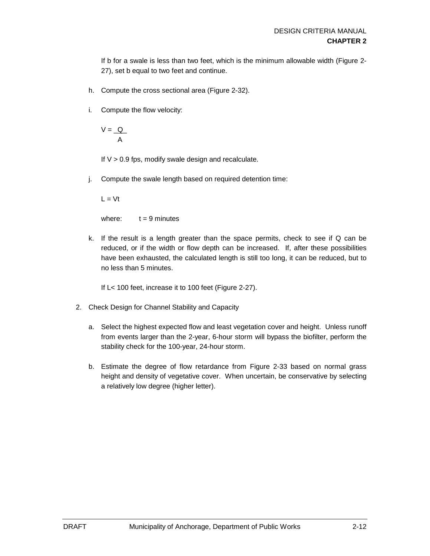If b for a swale is less than two feet, which is the minimum allowable width (Figure 2- 27), set b equal to two feet and continue.

- h. Compute the cross sectional area (Figure 2-32).
- i. Compute the flow velocity:

 $V = Q$ A

If  $V > 0.9$  fps, modify swale design and recalculate.

j. Compute the swale length based on required detention time:

 $L = Vt$ 

where:  $t = 9$  minutes

k. If the result is a length greater than the space permits, check to see if Q can be reduced, or if the width or flow depth can be increased. If, after these possibilities have been exhausted, the calculated length is still too long, it can be reduced, but to no less than 5 minutes.

If L< 100 feet, increase it to 100 feet (Figure 2-27).

- 2. Check Design for Channel Stability and Capacity
	- a. Select the highest expected flow and least vegetation cover and height. Unless runoff from events larger than the 2-year, 6-hour storm will bypass the biofilter, perform the stability check for the 100-year, 24-hour storm.
	- b. Estimate the degree of flow retardance from Figure 2-33 based on normal grass height and density of vegetative cover. When uncertain, be conservative by selecting a relatively low degree (higher letter).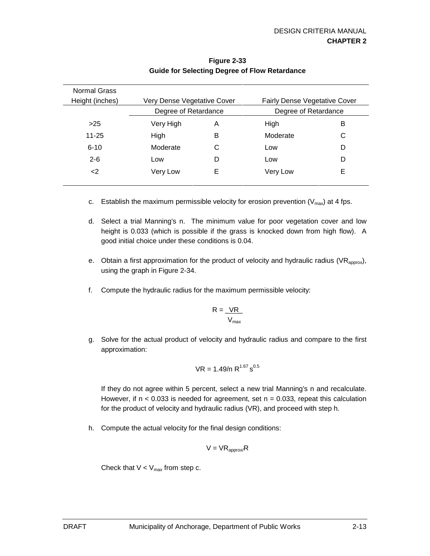| <b>Normal Grass</b> |                             |   |                                      |   |
|---------------------|-----------------------------|---|--------------------------------------|---|
| Height (inches)     | Very Dense Vegetative Cover |   | <b>Fairly Dense Vegetative Cover</b> |   |
|                     | Degree of Retardance        |   | Degree of Retardance                 |   |
| >25                 | Very High                   | A | High                                 | В |
| 11-25               | High                        | В | Moderate                             | C |
| $6 - 10$            | Moderate                    | С | Low                                  | D |
| $2 - 6$             | Low                         | D | Low                                  | D |
| $\leq$              | Very Low                    | Е | Very Low                             | Е |
|                     |                             |   |                                      |   |

### **Figure 2-33 Guide for Selecting Degree of Flow Retardance**

- c. Establish the maximum permissible velocity for erosion prevention  $(V_{\text{max}})$  at 4 fps.
- d. Select a trial Manning's n. The minimum value for poor vegetation cover and low height is 0.033 (which is possible if the grass is knocked down from high flow). A good initial choice under these conditions is 0.04.
- e. Obtain a first approximation for the product of velocity and hydraulic radius (VR<sub>approx</sub>), using the graph in Figure 2-34.
- f. Compute the hydraulic radius for the maximum permissible velocity:

$$
R = \frac{VR}{V_{\text{max}}}
$$

g. Solve for the actual product of velocity and hydraulic radius and compare to the first approximation:

$$
VR = 1.49/n R^{1.67} s^{0.5}
$$

If they do not agree within 5 percent, select a new trial Manning's n and recalculate. However, if  $n < 0.033$  is needed for agreement, set  $n = 0.033$ , repeat this calculation for the product of velocity and hydraulic radius (VR), and proceed with step h.

h. Compute the actual velocity for the final design conditions:

$$
V = VR_{approx}/R
$$

Check that  $V < V_{max}$  from step c.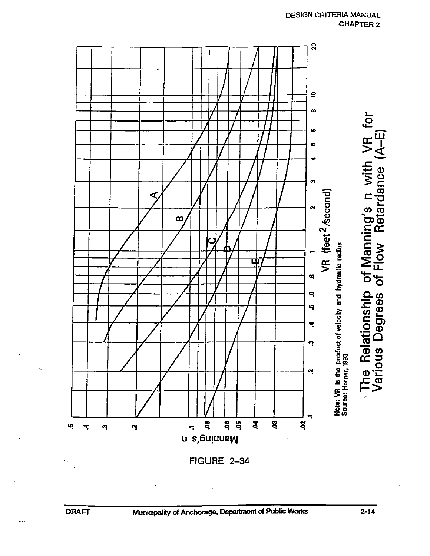

FIGURE 2-34

 $\overline{\phantom{a}}$ 

 $2 - 14$ 

**DESIGN CRITERIA MANUAL** 

**CHAPTER 2**